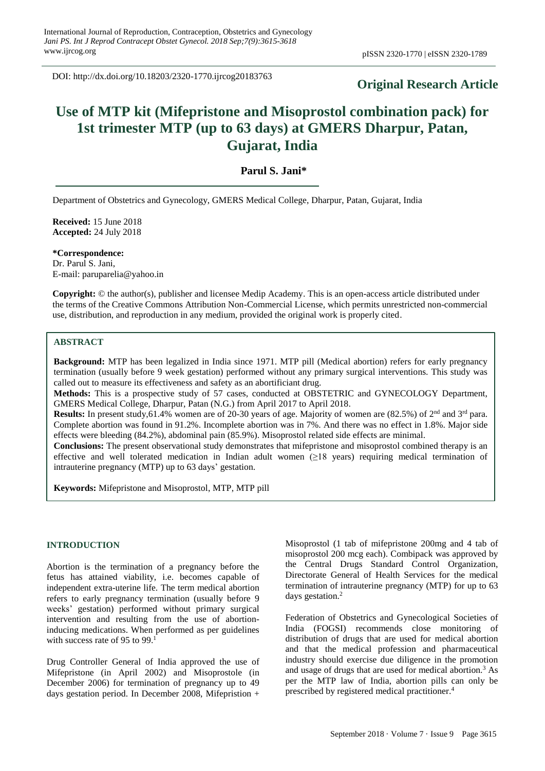DOI: http://dx.doi.org/10.18203/2320-1770.ijrcog20183763

# **Original Research Article**

# **Use of MTP kit (Mifepristone and Misoprostol combination pack) for 1st trimester MTP (up to 63 days) at GMERS Dharpur, Patan, Gujarat, India**

# **Parul S. Jani\***

Department of Obstetrics and Gynecology, GMERS Medical College, Dharpur, Patan, Gujarat, India

**Received:** 15 June 2018 **Accepted:** 24 July 2018

**\*Correspondence:** Dr. Parul S. Jani, E-mail: paruparelia@yahoo.in

**Copyright:** © the author(s), publisher and licensee Medip Academy. This is an open-access article distributed under the terms of the Creative Commons Attribution Non-Commercial License, which permits unrestricted non-commercial use, distribution, and reproduction in any medium, provided the original work is properly cited.

# **ABSTRACT**

**Background:** MTP has been legalized in India since 1971. MTP pill (Medical abortion) refers for early pregnancy termination (usually before 9 week gestation) performed without any primary surgical interventions. This study was called out to measure its effectiveness and safety as an abortificiant drug.

**Methods:** This is a prospective study of 57 cases, conducted at OBSTETRIC and GYNECOLOGY Department, GMERS Medical College, Dharpur, Patan (N.G.) from April 2017 to April 2018.

**Results:** In present study,61.4% women are of 20-30 years of age. Majority of women are  $(82.5%)$  of  $2<sup>nd</sup>$  and  $3<sup>rd</sup>$  para. Complete abortion was found in 91.2%. Incomplete abortion was in 7%. And there was no effect in 1.8%. Major side effects were bleeding (84.2%), abdominal pain (85.9%). Misoprostol related side effects are minimal.

**Conclusions:** The present observational study demonstrates that mifepristone and misoprostol combined therapy is an effective and well tolerated medication in Indian adult women (≥18 years) requiring medical termination of intrauterine pregnancy (MTP) up to 63 days' gestation.

**Keywords:** Mifepristone and Misoprostol, MTP, MTP pill

# **INTRODUCTION**

Abortion is the termination of a pregnancy before the fetus has attained viability, i.e. becomes capable of independent extra-uterine life. The term medical abortion refers to early pregnancy termination (usually before 9 weeks' gestation) performed without primary surgical intervention and resulting from the use of abortioninducing medications. When performed as per guidelines with success rate of 95 to 99.<sup>1</sup>

Drug Controller General of India approved the use of Mifepristone (in April 2002) and Misoprostole (in December 2006) for termination of pregnancy up to 49 days gestation period. In December 2008, Mifepristion + Misoprostol (1 tab of mifepristone 200mg and 4 tab of misoprostol 200 mcg each). Combipack was approved by the Central Drugs Standard Control Organization, Directorate General of Health Services for the medical termination of intrauterine pregnancy (MTP) for up to 63 days gestation.<sup>2</sup>

Federation of Obstetrics and Gynecological Societies of India (FOGSI) recommends close monitoring of distribution of drugs that are used for medical abortion and that the medical profession and pharmaceutical industry should exercise due diligence in the promotion and usage of drugs that are used for medical abortion.<sup>3</sup> As per the MTP law of India, abortion pills can only be prescribed by registered medical practitioner.<sup>4</sup>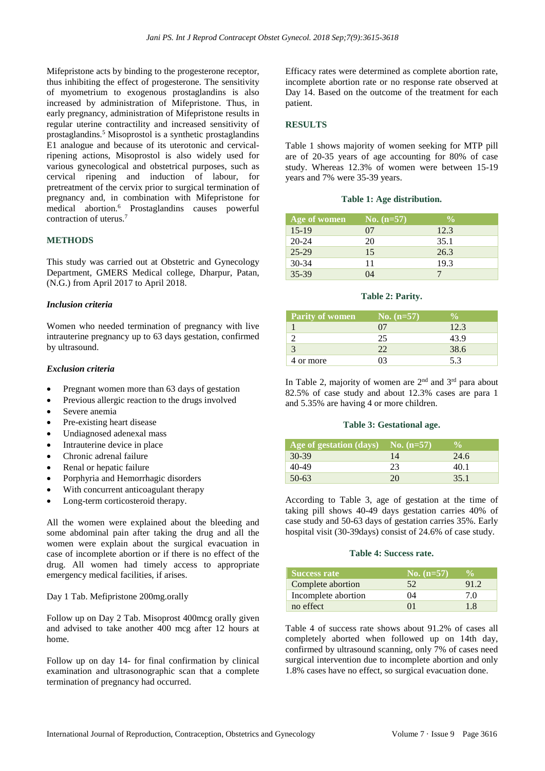Mifepristone acts by binding to the progesterone receptor, thus inhibiting the effect of progesterone. The sensitivity of myometrium to exogenous prostaglandins is also increased by administration of Mifepristone. Thus, in early pregnancy, administration of Mifepristone results in regular uterine contractility and increased sensitivity of prostaglandins.<sup>5</sup> Misoprostol is a synthetic prostaglandins E1 analogue and because of its uterotonic and cervicalripening actions, Misoprostol is also widely used for various gynecological and obstetrical purposes, such as cervical ripening and induction of labour, for pretreatment of the cervix prior to surgical termination of pregnancy and, in combination with Mifepristone for medical abortion.<sup>6</sup> Prostaglandins causes powerful contraction of uterus.<sup>7</sup>

#### **METHODS**

This study was carried out at Obstetric and Gynecology Department, GMERS Medical college, Dharpur, Patan, (N.G.) from April 2017 to April 2018.

#### *Inclusion criteria*

Women who needed termination of pregnancy with live intrauterine pregnancy up to 63 days gestation, confirmed by ultrasound.

# *Exclusion criteria*

- Pregnant women more than 63 days of gestation
- Previous allergic reaction to the drugs involved
- Severe anemia
- Pre-existing heart disease
- Undiagnosed adenexal mass
- Intrauterine device in place
- Chronic adrenal failure
- Renal or hepatic failure
- Porphyria and Hemorrhagic disorders
- With concurrent anticoagulant therapy
- Long-term corticosteroid therapy.

All the women were explained about the bleeding and some abdominal pain after taking the drug and all the women were explain about the surgical evacuation in case of incomplete abortion or if there is no effect of the drug. All women had timely access to appropriate emergency medical facilities, if arises.

Day 1 Tab. Mefipristone 200mg.orally

Follow up on Day 2 Tab. Misoprost 400mcg orally given and advised to take another 400 mcg after 12 hours at home.

Follow up on day 14- for final confirmation by clinical examination and ultrasonographic scan that a complete termination of pregnancy had occurred.

Efficacy rates were determined as complete abortion rate, incomplete abortion rate or no response rate observed at Day 14. Based on the outcome of the treatment for each patient.

## **RESULTS**

Table 1 shows majority of women seeking for MTP pill are of 20-35 years of age accounting for 80% of case study. Whereas 12.3% of women were between 15-19 years and 7% were 35-39 years.

#### **Table 1: Age distribution.**

| Age of women | No. $(n=57)$ | $\frac{0}{0}$ |
|--------------|--------------|---------------|
| $15-19$      | 07           | 12.3          |
| $20 - 24$    | 20           | 35.1          |
| $25 - 29$    | 15           | 26.3          |
| $30 - 34$    | 11           | 19.3          |
| 35-39        | $\Omega$     |               |

#### **Table 2: Parity.**

| <b>Parity of women</b> | No. $(n=57)$ |      |
|------------------------|--------------|------|
|                        |              | 12.3 |
|                        | 25           | 43.9 |
|                        | つつ           | 38.6 |
| 4 or more              |              | 53   |

In Table 2, majority of women are  $2<sup>nd</sup>$  and  $3<sup>rd</sup>$  para about 82.5% of case study and about 12.3% cases are para 1 and 5.35% are having 4 or more children.

#### **Table 3: Gestational age.**

| Age of gestation $\text{(days)}$ No. $\text{(n=57)}$ |    | $\frac{0}{\alpha}$ |
|------------------------------------------------------|----|--------------------|
| $30-39$                                              | 14 | 24.6               |
| 40-49                                                | 23 | 40.1               |
| $50-63$                                              | 20 | 35.1               |

According to Table 3, age of gestation at the time of taking pill shows 40-49 days gestation carries 40% of case study and 50-63 days of gestation carries 35%. Early hospital visit (30-39days) consist of 24.6% of case study.

#### **Table 4: Success rate.**

| <b>Success rate</b> | No. $(n=57)$ |      |
|---------------------|--------------|------|
| Complete abortion   | 52.          | 91.2 |
| Incomplete abortion | 04           | 70   |
| no effect           | $^{\prime}$  | 18   |

Table 4 of success rate shows about 91.2% of cases all completely aborted when followed up on 14th day, confirmed by ultrasound scanning, only 7% of cases need surgical intervention due to incomplete abortion and only 1.8% cases have no effect, so surgical evacuation done.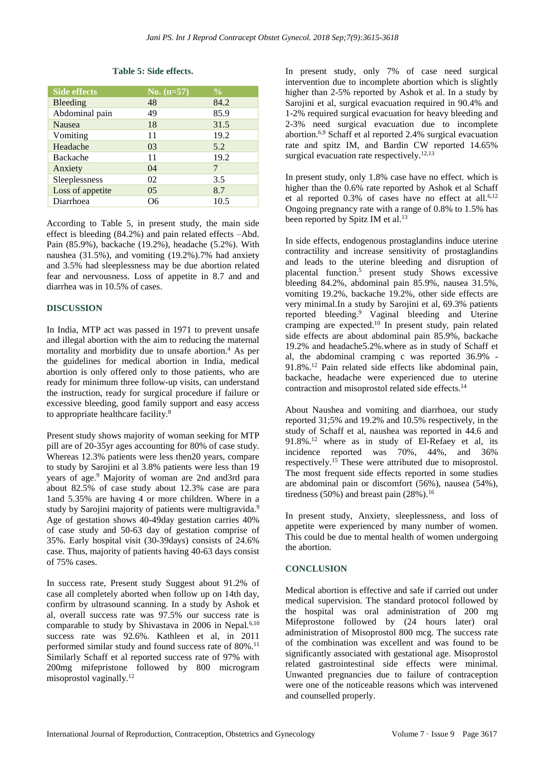#### **Table 5: Side effects.**

| <b>Side effects</b> | No. $(n=57)$   | $\frac{0}{0}$ |
|---------------------|----------------|---------------|
| Bleeding            | 48             | 84.2          |
| Abdominal pain      | 49             | 85.9          |
| <b>Nausea</b>       | 18             | 31.5          |
| Vomiting            | 11             | 19.2          |
| Headache            | 03             | 5.2           |
| <b>Backache</b>     | 11             | 19.2          |
| Anxiety             | 04             | 7             |
| Sleeplessness       | 02             | 3.5           |
| Loss of appetite    | 0 <sub>5</sub> | 8.7           |
| Diarrhoea           | റഭ             | 10.5          |

According to Table 5, in present study, the main side effect is bleeding (84.2%) and pain related effects –Abd. Pain (85.9%), backache (19.2%), headache (5.2%). With naushea (31.5%), and vomiting (19.2%).7% had anxiety and 3.5% had sleeplessness may be due abortion related fear and nervousness. Loss of appetite in 8.7 and and diarrhea was in 10.5% of cases.

# **DISCUSSION**

In India, MTP act was passed in 1971 to prevent unsafe and illegal abortion with the aim to reducing the maternal mortality and morbidity due to unsafe abortion.<sup>4</sup> As per the guidelines for medical abortion in India, medical abortion is only offered only to those patients, who are ready for minimum three follow-up visits, can understand the instruction, ready for surgical procedure if failure or excessive bleeding, good family support and easy access to appropriate healthcare facility.<sup>8</sup>

Present study shows majority of woman seeking for MTP pill are of 20-35yr ages accounting for 80% of case study. Whereas 12.3% patients were less then20 years, compare to study by Sarojini et al 3.8% patients were less than 19 years of age.<sup>9</sup> Majority of woman are 2nd and3rd para about 82.5% of case study about 12.3% case are para 1and 5.35% are having 4 or more children. Where in a study by Sarojini majority of patients were multigravida.<sup>9</sup> Age of gestation shows 40-49day gestation carries 40% of case study and 50-63 day of gestation comprise of 35%. Early hospital visit (30-39days) consists of 24.6% case. Thus, majority of patients having 40-63 days consist of 75% cases.

In success rate, Present study Suggest about 91.2% of case all completely aborted when follow up on 14th day, confirm by ultrasound scanning. In a study by Ashok et al, overall success rate was 97.5% our success rate is comparable to study by Shivastava in 2006 in Nepal.<sup>6,10</sup> success rate was 92.6%. Kathleen et al, in 2011 performed similar study and found success rate of 80%.<sup>11</sup> Similarly Schaff et al reported success rate of 97% with 200mg mifepristone followed by 800 microgram misoprostol vaginally.<sup>12</sup>

In present study, only 7% of case need surgical intervention due to incomplete abortion which is slightly higher than 2-5% reported by Ashok et al. In a study by Sarojini et al, surgical evacuation required in 90.4% and 1-2% required surgical evacuation for heavy bleeding and 2-3% need surgical evacuation due to incomplete abortion.6,9 Schaff et al reported 2.4% surgical evacuation rate and spitz IM, and Bardin CW reported 14.65% surgical evacuation rate respectively.<sup>12,13</sup>

In present study, only 1.8% case have no effect. which is higher than the 0.6% rate reported by Ashok et al Schaff et al reported  $0.3\%$  of cases have no effect at all.<sup>6,12</sup> Ongoing pregnancy rate with a range of 0.8% to 1.5% has been reported by Spitz IM et al.<sup>13</sup>

In side effects, endogenous prostaglandins induce uterine contractility and increase sensitivity of prostaglandins and leads to the uterine bleeding and disruption of placental function.<sup>5</sup> present study Shows excessive bleeding 84.2%, abdominal pain 85.9%, nausea 31.5%, vomiting 19.2%, backache 19.2%, other side effects are very minimal.In a study by Sarojini et al, 69.3% patients reported bleeding. <sup>9</sup> Vaginal bleeding and Uterine cramping are expected.<sup>10</sup> In present study, pain related side effects are about abdominal pain 85.9%, backache 19.2% and headache5.2%.where as in study of Schaff et al, the abdominal cramping c was reported 36.9% - 91.8%.<sup>12</sup> Pain related side effects like abdominal pain, backache, headache were experienced due to uterine contraction and misoprostol related side effects. 14

About Naushea and vomiting and diarrhoea, our study reported 31;5% and 19.2% and 10.5% respectively, in the study of Schaff et al, naushea was reported in 44.6 and 91.8%.<sup>12</sup> where as in study of El-Refaey et al, its incidence reported was 70%, 44%, and 36% respectively. <sup>15</sup> These were attributed due to misoprostol. The most frequent side effects reported in some studies are abdominal pain or discomfort (56%), nausea (54%), tiredness  $(50\%)$  and breast pain  $(28\%)$ .<sup>16</sup>

In present study, Anxiety, sleeplessness, and loss of appetite were experienced by many number of women. This could be due to mental health of women undergoing the abortion.

# **CONCLUSION**

Medical abortion is effective and safe if carried out under medical supervision. The standard protocol followed by the hospital was oral administration of 200 mg Mifeprostone followed by (24 hours later) oral administration of Misoprostol 800 mcg. The success rate of the combination was excellent and was found to be significantly associated with gestational age. Misoprostol related gastrointestinal side effects were minimal. Unwanted pregnancies due to failure of contraception were one of the noticeable reasons which was intervened and counselled properly.